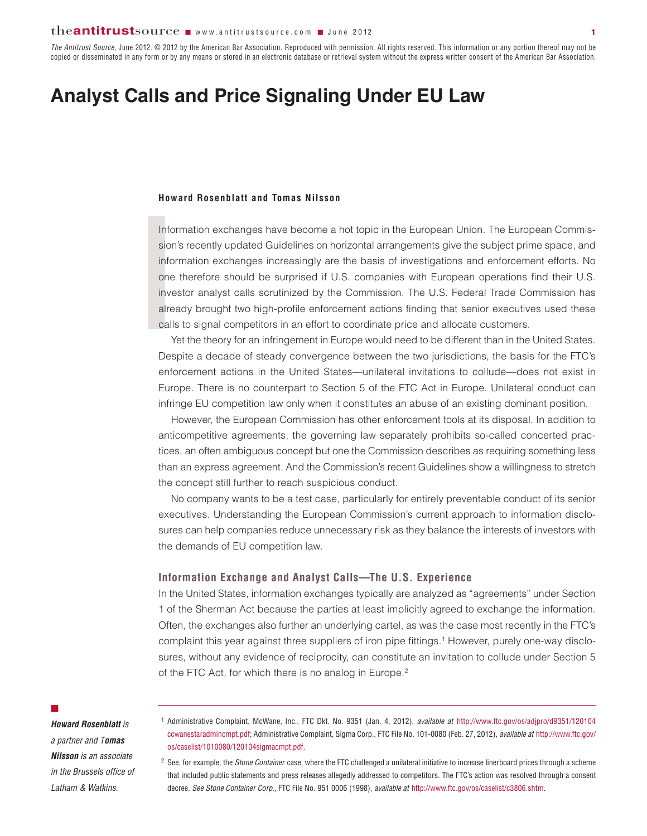*The Antitrust Source*, June 2012. © 2012 by the American Bar Association. Reproduced with permission. All rights reserved. This information or any portion thereof may not be copied or disseminated in any form or by any means or stored in an electronic database or retrieval system without the express written consent of the American Bar Association.

# **Analyst Calls and Price Signaling Under EU Law**

### **Howard Rosenblatt and Tomas Nilsson**

Ho<br>
Inf<br>
sic<br>
inf<br>
on<br>
inv<br>
alr<br>
ca Information exchanges have become a hot topic in the European Union. The European Commis sion's recently updated Guidelines on horizontal arrangements give the subject prime space, and information exchanges increasingly are the basis of investigations and enforcement efforts. No one therefore should be surprised if U.S. companies with European operations find their U.S. investor analyst calls scrutinized by the Commission. The U.S. Federal Trade Commission has already brought two high-profile enforcement actions finding that senior executives used these calls to signal competitors in an effort to coordinate price and allocate customers.

Yet the theory for an infringement in Europe would need to be different than in the United States. Despite a decade of steady convergence between the two jurisdictions, the basis for the FTC's enforcement actions in the United States—unilateral invitations to collude—does not exist in Europe. There is no counterpart to Section 5 of the FTC Act in Europe. Unilateral conduct can infringe EU competition law only when it constitutes an abuse of an existing dominant position.

However, the European Commission has other enforcement tools at its disposal. In addition to anticompetitive agreements, the governing law separately prohibits so-called concerted practices, an often ambiguous concept but one the Commission describes as requiring something less than an express agreement. And the Commission's recent Guidelines show a willingness to stretch the concept still further to reach suspicious conduct.

No company wants to be a test case, particularly for entirely preventable conduct of its senior executives. Understanding the European Commission's current approach to information disclosures can help companies reduce unnecessary risk as they balance the interests of investors with the demands of EU competition law.

# **Information Exchange and Analyst Calls—The U.S. Experience**

In the United States, information exchanges typically are analyzed as "agreements" under Section 1 of the Sherman Act because the parties at least implicitly agreed to exchange the information. Often, the exchanges also further an underlying cartel, as was the case most recently in the FTC's complaint this year against three suppliers of iron pipe fittings.1 However, purely one-way disclosures, without any evidence of reciprocity, can constitute an invitation to collude under Section 5 of the FTC Act, for which there is no analog in Europe.<sup>2</sup>

#### $\mathbb{Z}^2$

*Howard Rosenblatt is a partner and Tomas Nilsson is an associate in the Brussels office of Latham & Watkins.*

<sup>1</sup> Administrative Complaint, McWane, Inc., FTC Dkt. No. 9351 (Jan. 4, 2012), *available at* [http://www.ftc.gov/os/adjpro/d9351/120104](http://www.ftc.gov/os/adjpro/d9351/120104ccwanestaradmincmpt.pdf) [ccwanestaradmincmpt.pdf;](http://www.ftc.gov/os/adjpro/d9351/120104ccwanestaradmincmpt.pdf) Administrative Complaint, Sigma Corp., FTC File No. 101-0080 (Feb. 27, 2012), *available at* [http://www.ftc.gov/](http://www.ftc.gov/os/caselist/1010080/120104sigmacmpt.pdf) [os/caselist/1010080/120104sigmacmpt.pdf.](http://www.ftc.gov/os/caselist/1010080/120104sigmacmpt.pdf)

<sup>2</sup> See, for example, the *Stone Container* case, where the FTC challenged a unilateral initiative to increase linerboard prices through a scheme that included public statements and press releases allegedly addressed to competitors. The FTC's action was resolved through a consent decree. *See Stone Container Corp.*, FTC File No. 951 0006 (1998), *available at* http://www.ftc.gov/os/caselist/c3806.shtm.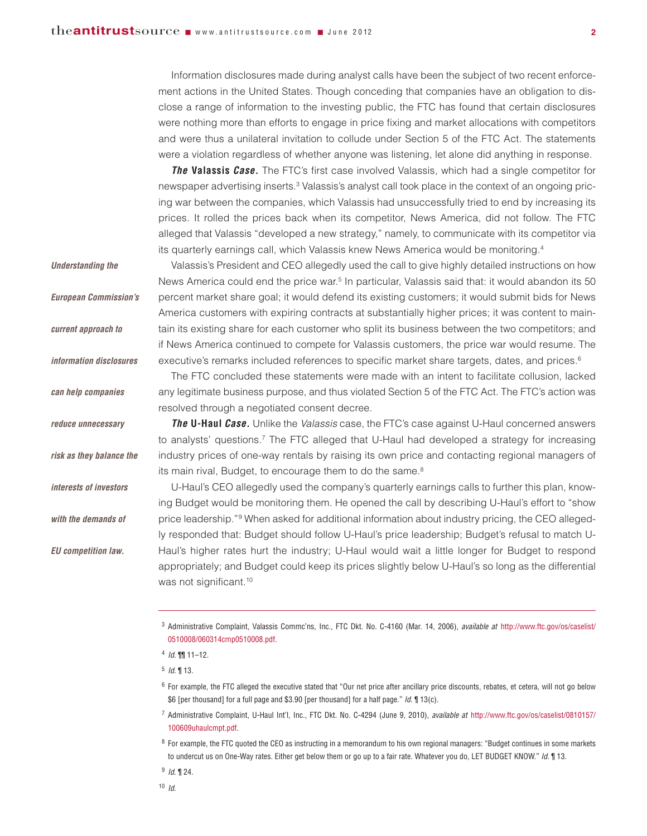Information disclosures made during analyst calls have been the subject of two recent enforcement actions in the United States. Though conceding that companies have an obligation to disclose a range of information to the investing public, the FTC has found that certain disclosures were nothing more than efforts to engage in price fixing and market allocations with competitors and were thus a unilateral invitation to collude under Section 5 of the FTC Act. The statements were a violation regardless of whether anyone was listening, let alone did anything in response.

*The* **Valassis** *Case.* The FTC's first case involved Valassis, which had a single competitor for newspaper advertising inserts.<sup>3</sup> Valassis's analyst call took place in the context of an ongoing pricing war between the companies, which Valassis had unsuccessfully tried to end by increasing its prices. It rolled the prices back when its competitor, News America, did not follow. The FTC alleged that Valassis "developed a new strategy," namely, to communicate with its competitor via its quarterly earnings call, which Valassis knew News America would be monitoring. 4

Valassis's President and CEO allegedly used the call to give highly detailed instructions on how News America could end the price war.<sup>5</sup> In particular, Valassis said that: it would abandon its 50 percent market share goal; it would defend its existing customers; it would submit bids for News America customers with expiring contracts at substantially higher prices; it was content to maintain its existing share for each customer who split its business between the two competitors; and if News America continued to compete for Valassis customers, the price war would resume. The executive's remarks included references to specific market share targets, dates, and prices.<sup>6</sup>

The FTC concluded these statements were made with an intent to facilitate collusion, lacked any legitimate business purpose, and thus violated Section 5 of the FTC Act. The FTC's action was resolved through a negotiated consent decree.

*The* **U-Haul** *Case.* Unlike the *Valassis* case, the FTC's case against U-Haul concerned answers to analysts' questions.<sup>7</sup> The FTC alleged that U-Haul had developed a strategy for increasing industry prices of one-way rentals by raising its own price and contacting regional managers of its main rival. Budget, to encourage them to do the same.<sup>8</sup>

U-Haul's CEO allegedly used the company's quarterly earnings calls to further this plan, knowing Budget would be monitoring them. He opened the call by describing U-Haul's effort to "show price leadership."9 When asked for additional information about industry pricing, the CEO allegedly responded that: Budget should follow U-Haul's price leadership; Budget's refusal to match U-Haul's higher rates hurt the industry; U-Haul would wait a little longer for Budget to respond appropriately; and Budget could keep its prices slightly below U-Haul's so long as the differential was not significant.<sup>10</sup>

*Understanding the*

*current approach to*

*European Commission's*

*information disclosures*

*can help companies*

*reduce unnecessary*

*risk as they balance the*

*interests of investors*

*with the demands of*

*EU competition law.*

 $6$  For example, the FTC alleged the executive stated that "Our net price after ancillary price discounts, rebates, et cetera, will not go below \$6 [per thousand] for a full page and \$3.90 [per thousand] for a half page." *Id.* ¶ 13(c).

<sup>7</sup> Administrative Complaint, U-Haul Int'l, Inc., FTC Dkt. No. C-4294 (June 9, 2010), *available at* [http://www.ftc.gov/os/caselist/0810157/](http://www.ftc.gov/os/caselist/0810157/100609uhaulcmpt.pdf) [100609uhaulcmpt.pdf.](http://www.ftc.gov/os/caselist/0810157/100609uhaulcmpt.pdf)

<sup>8</sup> For example, the FTC quoted the CEO as instructing in a memorandum to his own regional managers: "Budget continues in some markets to undercut us on One-Way rates. Either get below them or go up to a fair rate. Whatever you do, LET BUDGET KNOW." *Id.* ¶ 13.

<sup>9</sup> *Id.* ¶ 24.

<sup>3</sup> Administrative Complaint, Valassis Commc'ns, Inc., FTC Dkt. No. C-4160 (Mar. 14, 2006), *available at* [http://www.ftc.gov/os/caselist/](http://www.ftc.gov/os/caselist/0510008/060314cmp0510008.pdf) [0510008/060314cmp0510008.pdf.](http://www.ftc.gov/os/caselist/0510008/060314cmp0510008.pdf)

<sup>4</sup> *Id.* ¶¶ 11–12.

<sup>5</sup> *Id.* ¶ 13.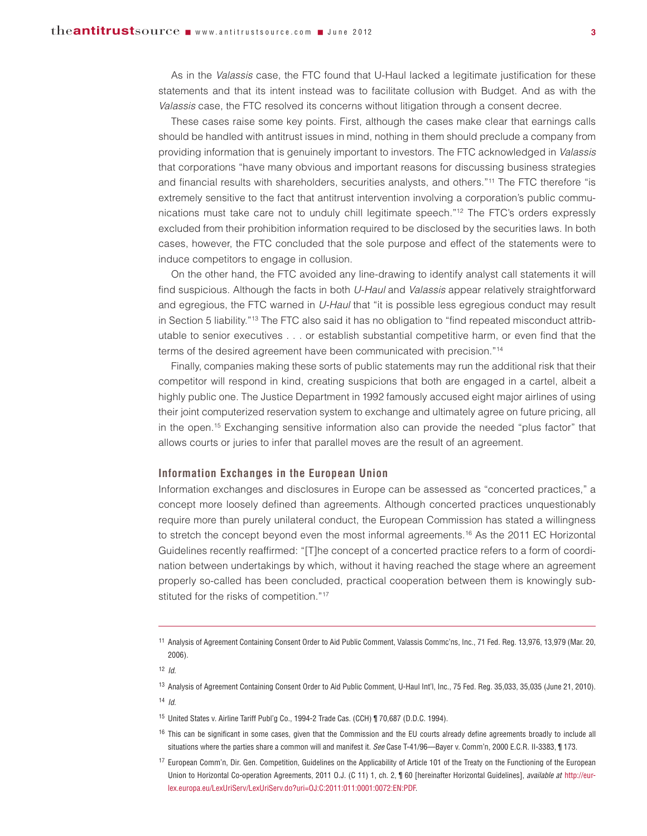As in the *Valassis* case, the FTC found that U-Haul lacked a legitimate justification for these statements and that its intent instead was to facilitate collusion with Budget. And as with the *Valassis* case, the FTC resolved its concerns without litigation through a consent decree.

These cases raise some key points. First, although the cases make clear that earnings calls should be handled with antitrust issues in mind, nothing in them should preclude a company from providing information that is genuinely important to investors. The FTC acknowledged in *Valassis* that corporations "have many obvious and important reasons for discussing business strategies and financial results with shareholders, securities analysts, and others."11 The FTC therefore "is extremely sensitive to the fact that antitrust intervention involving a corporation's public communications must take care not to unduly chill legitimate speech."12 The FTC's orders expressly excluded from their prohibition information required to be disclosed by the securities laws. In both cases, however, the FTC concluded that the sole purpose and effect of the statements were to induce competitors to engage in collusion.

On the other hand, the FTC avoided any line-drawing to identify analyst call statements it will find suspicious. Although the facts in both *U-Haul* and *Valassis* appear relatively straightforward and egregious, the FTC warned in *U-Haul* that "it is possible less egregious conduct may result in Section 5 liability."13 The FTC also said it has no obligation to "find repeated misconduct attributable to senior executives . . . or establish substantial competitive harm, or even find that the terms of the desired agreement have been communicated with precision."14

Finally, companies making these sorts of public statements may run the additional risk that their competitor will respond in kind, creating suspicions that both are engaged in a cartel, albeit a highly public one. The Justice Department in 1992 famously accused eight major airlines of using their joint computerized reservation system to exchange and ultimately agree on future pricing, all in the open. <sup>15</sup> Exchanging sensitive information also can provide the needed "plus factor" that allows courts or juries to infer that parallel moves are the result of an agreement.

# **Information Exchanges in the European Union**

Information exchanges and disclosures in Europe can be assessed as "concerted practices," a concept more loosely defined than agreements. Although concerted practices unquestionably require more than purely unilateral conduct, the European Commission has stated a willingness to stretch the concept beyond even the most informal agreements.<sup>16</sup> As the 2011 EC Horizontal Guidelines recently reaffirmed: "[T]he concept of a concerted practice refers to a form of coordination between undertakings by which, without it having reached the stage where an agreement properly so-called has been concluded, practical cooperation between them is knowingly substituted for the risks of competition."17

<sup>13</sup> Analysis of Agreement Containing Consent Order to Aid Public Comment, U-Haul Int'l, Inc., 75 Fed. Reg. 35,033, 35,035 (June 21, 2010). <sup>14</sup> *Id.*

- <sup>15</sup> United States v. Airline Tariff Publ'g Co., 1994-2 Trade Cas. (CCH) ¶ 70,687 (D.D.C. 1994).
- <sup>16</sup> This can be significant in some cases, given that the Commission and the EU courts already define agreements broadly to include all situations where the parties share a common will and manifest it. *See* Case T-41/96—Bayer v. Comm'n, 2000 E.C.R. II-3383, ¶ 173.
- <sup>17</sup> European Comm'n, Dir. Gen. Competition, Guidelines on the Applicability of Article 101 of the Treaty on the Functioning of the European Union to Horizontal Co-operation Agreements, 2011 O.J. (C 11) 1, ch. 2, ¶ 60 [hereinafter Horizontal Guidelines], *available at* http://eurlex.europa.eu/LexUriServ/LexUriServ.do?uri=OJ:C:2011:011:0001:0072:EN:PDF.

<sup>11</sup> Analysis of Agreement Containing Consent Order to Aid Public Comment, Valassis Commc'ns, Inc., 71 Fed. Reg. 13,976, 13,979 (Mar. 20, 2006).

<sup>12</sup> *Id.*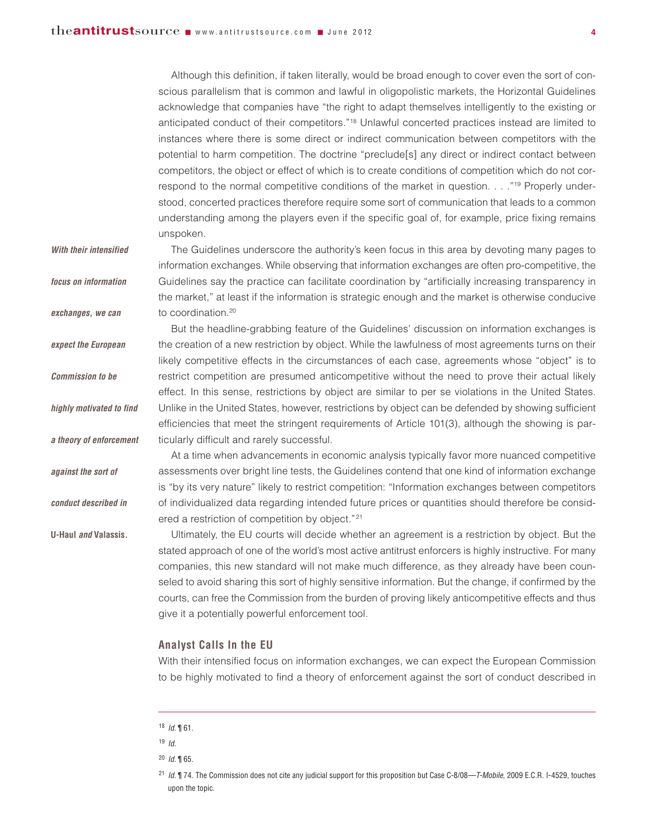Although this definition, if taken literally, would be broad enough to cover even the sort of conscious parallelism that is common and lawful in oligopolistic markets, the Horizontal Guidelines acknowledge that companies have "the right to adapt themselves intelligently to the existing or anticipated conduct of their competitors."18 Unlawful concerted practices instead are limited to instances where there is some direct or indirect communication between competitors with the potential to harm competition. The doctrine "preclude[s] any direct or indirect contact between competitors, the object or effect of which is to create conditions of competition which do not correspond to the normal competitive conditions of the market in question. . . . "<sup>19</sup> Properly understood, concerted practices therefore require some sort of communication that leads to a common understanding among the players even if the specific goal of, for example, price fixing remains unspoken.

The Guidelines underscore the authority's keen focus in this area by devoting many pages to information exchanges. While observing that information exchanges are often pro-competitive, the Guidelines say the practice can facilitate coordination by "artificially increasing transparency in the market," at least if the information is strategic enough and the market is otherwise conducive to coordination.<sup>20</sup> *With their intensified focus on information exchanges, we can*

But the headline-grabbing feature of the Guidelines' discussion on information exchanges is the creation of a new restriction by object. While the lawfulness of most agreements turns on their likely competitive effects in the circumstances of each case, agreements whose "object" is to restrict competition are presumed anticompetitive without the need to prove their actual likely effect. In this sense, restrictions by object are similar to per se violations in the United States. Unlike in the United States, however, restrictions by object can be defended by showing sufficient efficiencies that meet the stringent requirements of Article 101(3), although the showing is particularly difficult and rarely successful. *expect the European Commission to be highly motivated to find a theory of enforcement*

> At a time when advancements in economic analysis typically favor more nuanced competitive assessments over bright line tests, the Guidelines contend that one kind of information exchange is "by its very nature" likely to restrict competition: "Information exchanges between competitors of individualized data regarding intended future prices or quantities should therefore be considered a restriction of competition by object."21

> Ultimately, the EU courts will decide whether an agreement is a restriction by object. But the stated approach of one of the world's most active antitrust enforcers is highly instructive. For many companies, this new standard will not make much difference, as they already have been counseled to avoid sharing this sort of highly sensitive information. But the change, if confirmed by the courts, can free the Commission from the burden of proving likely anticompetitive effects and thus give it a potentially powerful enforcement tool.

# **Analyst Calls In the EU**

With their intensified focus on information exchanges, we can expect the European Commission to be highly motivated to find a theory of enforcement against the sort of conduct described in

*against the sort of*

*conduct described in*

**U-Haul** *and* **Valassis***.*

<sup>18</sup> *Id.* ¶ 61.

<sup>19</sup> *Id.*

<sup>20</sup> *Id.* ¶ 65.

<sup>21</sup> *Id.* ¶ 74. The Commission does not cite any judicial support for this proposition but Case C-8/08—*T-Mobile*, 2009 E.C.R. I-4529, touches upon the topic.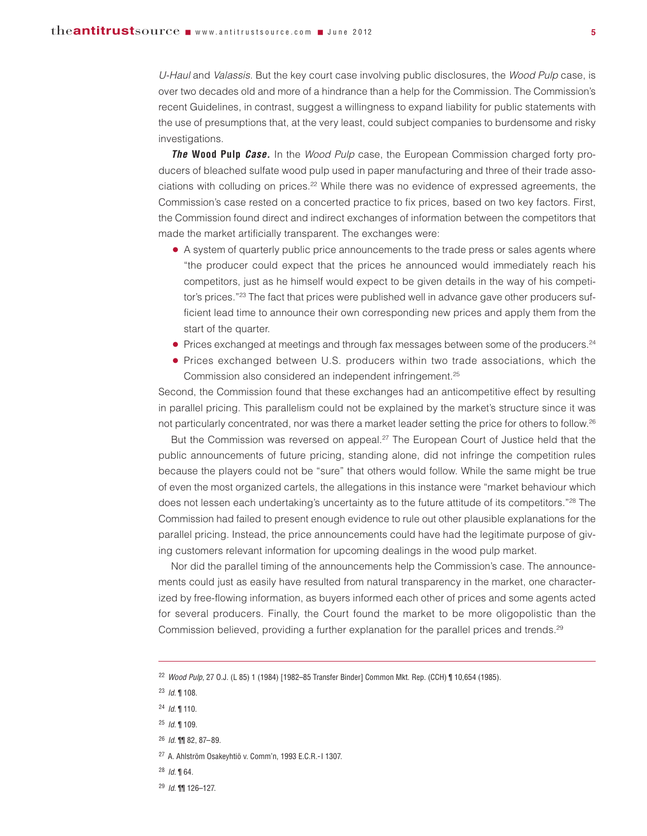*U-Haul* and *Valassis*. But the key court case involving public disclosures, the *Wood Pulp* case, is over two decades old and more of a hindrance than a help for the Commission. The Commission's recent Guidelines, in contrast, suggest a willingness to expand liability for public statements with the use of presumptions that, at the very least, could subject companies to burdensome and risky investigations.

*The* **Wood Pulp** *Case.* In the *Wood Pulp* case, the European Commission charged forty producers of bleached sulfate wood pulp used in paper manufacturing and three of their trade associations with colluding on prices. <sup>22</sup> While there was no evidence of expressed agreements, the Commission's case rested on a concerted practice to fix prices, based on two key factors. First, the Commission found direct and indirect exchanges of information between the competitors that made the market artificially transparent. The exchanges were:

- **●** A system of quarterly public price announcements to the trade press or sales agents where "the producer could expect that the prices he announced would immediately reach his competitors, just as he himself would expect to be given details in the way of his competitor's prices."<sup>23</sup> The fact that prices were published well in advance gave other producers sufficient lead time to announce their own corresponding new prices and apply them from the start of the quarter.
- Prices exchanged at meetings and through fax messages between some of the producers.<sup>24</sup>
- **●** Prices exchanged between U.S. producers within two trade associations, which the Commission also considered an independent infringement.<sup>25</sup>

Second, the Commission found that these exchanges had an anticompetitive effect by resulting in parallel pricing. This parallelism could not be explained by the market's structure since it was not particularly concentrated, nor was there a market leader setting the price for others to follow.<sup>26</sup>

But the Commission was reversed on appeal.<sup>27</sup> The European Court of Justice held that the public announcements of future pricing, standing alone, did not infringe the competition rules because the players could not be "sure" that others would follow. While the same might be true of even the most organized cartels, the allegations in this instance were "market behaviour which does not lessen each undertaking's uncertainty as to the future attitude of its competitors."28 The Commission had failed to present enough evidence to rule out other plausible explanations for the parallel pricing. Instead, the price announcements could have had the legitimate purpose of giving customers relevant information for upcoming dealings in the wood pulp market.

Nor did the parallel timing of the announcements help the Commission's case. The announcements could just as easily have resulted from natural transparency in the market, one characterized by free-flowing information, as buyers informed each other of prices and some agents acted for several producers. Finally, the Court found the market to be more oligopolistic than the Commission believed, providing a further explanation for the parallel prices and trends.<sup>29</sup>

- <sup>27</sup> A. Ahlström Osakeyhtiö v. Comm'n, 1993 E.C.R.-I 1307.
- <sup>28</sup> *Id.* ¶ 64.
- <sup>29</sup> *Id.* ¶¶ 126–127.

<sup>22</sup> *Wood Pulp*, 27 O.J. (L 85) 1 (1984) [1982–85 Transfer Binder] Common Mkt. Rep. (CCH) ¶ 10,654 (1985).

<sup>23</sup> *Id.* ¶ 108.

<sup>24</sup> *Id.* ¶ 110.

<sup>25</sup> *Id.* ¶ 109.

<sup>26</sup> *Id.* ¶¶ 82, 87–89.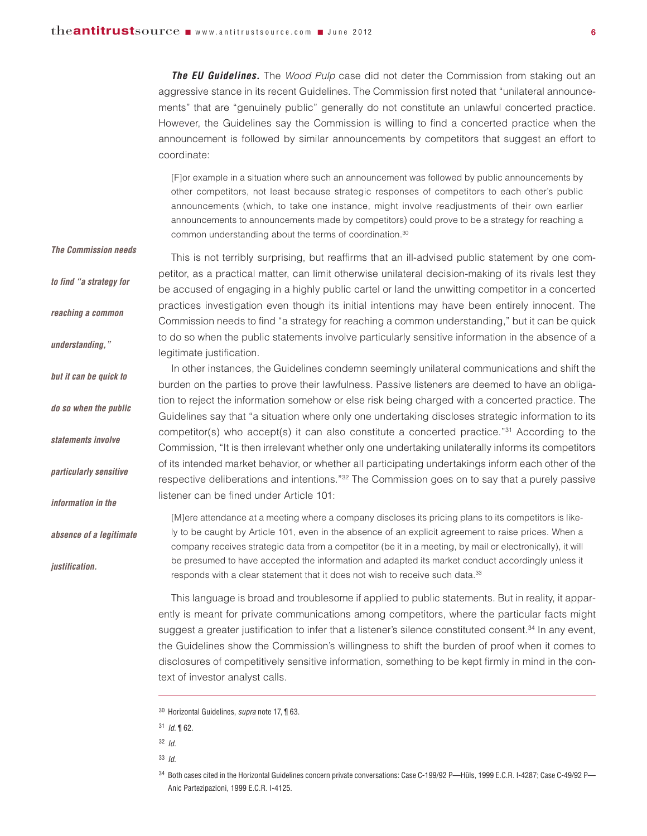*The Commission needs*

*reaching a common*

*but it can be quick to*

*do so when the public*

*statements involve*

*particularly sensitive*

*information in the*

*justification.*

*absence of a legitimate*

*understanding,"*

*The EU Guidelines.* The *Wood Pulp* case did not deter the Commission from staking out an aggressive stance in its recent Guidelines. The Commission first noted that "unilateral announcements" that are "genuinely public" generally do not constitute an unlawful concerted practice. However, the Guidelines say the Commission is willing to find a concerted practice when the announcement is followed by similar announcements by competitors that suggest an effort to coordinate:

[F]or example in a situation where such an announcement was followed by public announcements by other competitors, not least because strategic responses of competitors to each other's public announcements (which, to take one instance, might involve readjustments of their own earlier announcements to announcements made by competitors) could prove to be a strategy for reaching a common understanding about the terms of coordination. 30

This is not terribly surprising, but reaffirms that an ill-advised public statement by one competitor, as a practical matter, can limit otherwise unilateral decision-making of its rivals lest they be accused of engaging in a highly public cartel or land the unwitting competitor in a concerted practices investigation even though its initial intentions may have been entirely innocent. The Commission needs to find "a strategy for reaching a common understanding," but it can be quick to do so when the public statements involve particularly sensitive information in the absence of a legitimate justification. *to find "a strategy for*

> In other instances, the Guidelines condemn seemingly unilateral communications and shift the burden on the parties to prove their lawfulness. Passive listeners are deemed to have an obligation to reject the information somehow or else risk being charged with a concerted practice. The Guidelines say that "a situation where only one undertaking discloses strategic information to its competitor(s) who accept(s) it can also constitute a concerted practice."31 According to the Commission, "It is then irrelevant whether only one undertaking unilaterally informs its competitors of its intended market behavior, or whether all participating undertakings inform each other of the respective deliberations and intentions."32 The Commission goes on to say that a purely passive listener can be fined under Article 101:

[M]ere attendance at a meeting where a company discloses its pricing plans to its competitors is likely to be caught by Article 101, even in the absence of an explicit agreement to raise prices. When a company receives strategic data from a competitor (be it in a meeting, by mail or electronically), it will be presumed to have accepted the information and adapted its market conduct accordingly unless it responds with a clear statement that it does not wish to receive such data.<sup>33</sup>

This language is broad and troublesome if applied to public statements. But in reality, it apparently is meant for private communications among competitors, where the particular facts might suggest a greater justification to infer that a listener's silence constituted consent.<sup>34</sup> In any event, the Guidelines show the Commission's willingness to shift the burden of proof when it comes to disclosures of competitively sensitive information, something to be kept firmly in mind in the context of investor analyst calls.

<sup>30</sup> Horizontal Guidelines, *supra* note 17, ¶ 63.

<sup>31</sup> *Id.* ¶ 62.

<sup>32</sup> *Id.*

<sup>33</sup> *Id.*

<sup>34</sup> Both cases cited in the Horizontal Guidelines concern private conversations: Case C-199/92 P—Hüls, 1999 E.C.R. I-4287; Case C-49/92 P— Anic Partezipazioni, 1999 E.C.R. I-4125.